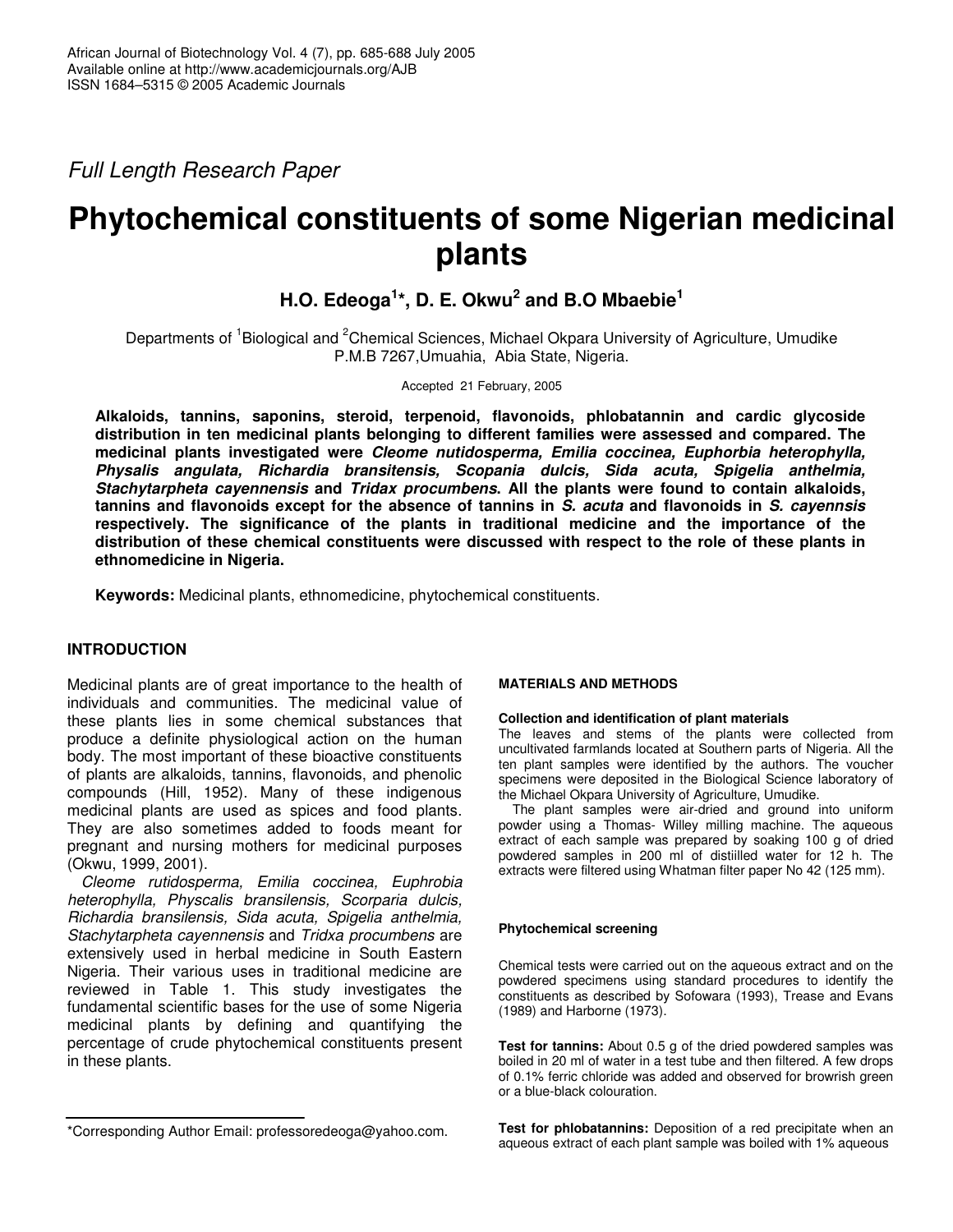*Full Length Research Paper*

# **Phytochemical constituents of some Nigerian medicinal plants**

**H.O. Edeoga 1 \*, D. E. Okwu 2 and B.O Mbaebie 1**

Departments of <sup>1</sup>Biological and <sup>2</sup>Chemical Sciences, Michael Okpara University of Agriculture, Umudike P.M.B 7267,Umuahia, Abia State, Nigeria.

Accepted 21 February, 2005

**Alkaloids, tannins, saponins, steroid, terpenoid, flavonoids, phlobatannin and cardic glycoside distribution in ten medicinal plants belonging to different families were assessed and compared. The medicinal plants investigated were** *Cleome nutidosperma, Emilia coccinea, Euphorbia heterophylla, Physalis angulata, Richardia bransitensis, Scopania dulcis, Sida acuta, Spigelia anthelmia, Stachytarpheta cayennensis* **and** *Tridax procumbens***. All the plants were found to contain alkaloids, tannins and flavonoids except for the absence of tannins in** *S. acuta* **and flavonoids in** *S. cayennsis* **respectively. The significance of the plants in traditional medicine and the importance of the distribution of these chemical constituents were discussed with respect to the role of these plants in ethnomedicine in Nigeria.**

**Keywords:** Medicinal plants, ethnomedicine, phytochemical constituents.

## **INTRODUCTION**

Medicinal plants are of great importance to the health of individuals and communities. The medicinal value of these plants lies in some chemical substances that produce a definite physiological action on the human body. The most important of these bioactive constituents of plants are alkaloids, tannins, flavonoids, and phenolic compounds (Hill, 1952). Many of these indigenous medicinal plants are used as spices and food plants. They are also sometimes added to foods meant for pregnant and nursing mothers for medicinal purposes (Okwu, 1999, 2001).

*Cleome rutidosperma, Emilia coccinea, Euphrobia heterophylla, Physcalis bransilensis, Scorparia dulcis, Richardia bransilensis, Sida acuta, Spigelia anthelmia, Stachytarpheta cayennensis* and *Tridxa procumbens* are extensively used in herbal medicine in South Eastern Nigeria. Their various uses in traditional medicine are reviewed in Table 1. This study investigates the fundamental scientific bases for the use of some Nigeria medicinal plants by defining and quantifying the percentage of crude phytochemical constituents present in these plants.

## **MATERIALS AND METHODS**

#### **Collection and identification of plant materials**

The leaves and stems of the plants were collected from uncultivated farmlands located at Southern parts of Nigeria. All the ten plant samples were identified by the authors. The voucher specimens were deposited in the Biological Science laboratory of the Michael Okpara University of Agriculture, Umudike.

The plant samples were air-dried and ground into uniform powder using a Thomas- Willey milling machine. The aqueous extract of each sample was prepared by soaking 100 g of dried powdered samples in 200 ml of distiilled water for 12 h. The extracts were filtered using Whatman filter paper No 42 (125 mm).

## **Phytochemical screening**

Chemical tests were carried out on the aqueous extract and on the powdered specimens using standard procedures to identify the constituents as described by Sofowara (1993), Trease and Evans (1989) and Harborne (1973).

**Test for tannins:** About 0.5 g of the dried powdered samples was boiled in 20 ml of water in a test tube and then filtered. A few drops of 0.1% ferric chloride was added and observed for browrish green or a blue-black colouration.

**Test for phlobatannins:** Deposition of a red precipitate when an aqueous extract of each plant sample was boiled with 1% aqueous

<sup>\*</sup>Corresponding Author Email: professoredeoga@yahoo.com.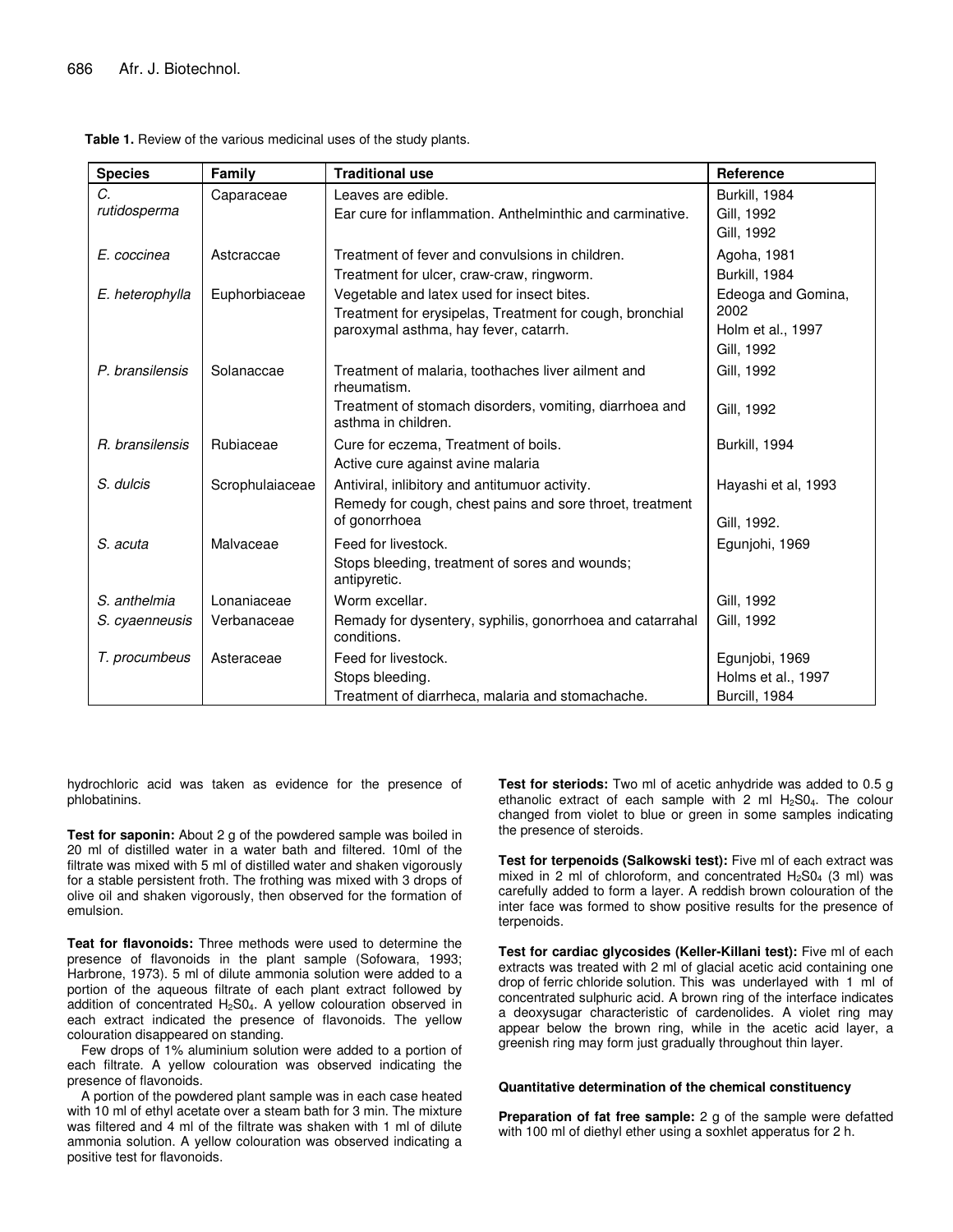| <b>Species</b>  | Family          | <b>Traditional use</b>                                                         | <b>Reference</b>    |
|-----------------|-----------------|--------------------------------------------------------------------------------|---------------------|
| C.              | Caparaceae      | Leaves are edible.                                                             | Burkill, 1984       |
| rutidosperma    |                 | Ear cure for inflammation. Anthelminthic and carminative.                      | Gill. 1992          |
|                 |                 |                                                                                | Gill, 1992          |
| E. coccinea     | Astcraccae      | Treatment of fever and convulsions in children.                                | Agoha, 1981         |
|                 |                 | Treatment for ulcer, craw-craw, ringworm.                                      | Burkill, 1984       |
| E. heterophylla | Euphorbiaceae   | Vegetable and latex used for insect bites.                                     | Edeoga and Gomina,  |
|                 |                 | Treatment for erysipelas, Treatment for cough, bronchial                       | 2002                |
|                 |                 | paroxymal asthma, hay fever, catarrh.                                          | Holm et al., 1997   |
|                 |                 |                                                                                | Gill, 1992          |
| P. bransilensis | Solanaccae      | Treatment of malaria, toothaches liver ailment and<br>rheumatism.              | Gill, 1992          |
|                 |                 | Treatment of stomach disorders, vomiting, diarrhoea and<br>asthma in children. | Gill, 1992          |
| R. bransilensis | Rubiaceae       | Cure for eczema. Treatment of boils.                                           | Burkill, 1994       |
|                 |                 | Active cure against avine malaria                                              |                     |
| S. dulcis       | Scrophulaiaceae | Antiviral, inlibitory and antitumuor activity.                                 | Hayashi et al, 1993 |
|                 |                 | Remedy for cough, chest pains and sore throet, treatment                       |                     |
|                 |                 | of gonorrhoea                                                                  | Gill, 1992.         |
| S. acuta        | Malvaceae       | Feed for livestock.                                                            | Egunjohi, 1969      |
|                 |                 | Stops bleeding, treatment of sores and wounds;<br>antipyretic.                 |                     |
| S. anthelmia    | Lonaniaceae     | Worm excellar.                                                                 | Gill, 1992          |
| S. cyaenneusis  | Verbanaceae     | Remady for dysentery, syphilis, gonorrhoea and catarrahal<br>conditions.       | Gill, 1992          |
| T. procumbeus   | Asteraceae      | Feed for livestock.                                                            | Egunjobi, 1969      |
|                 |                 | Stops bleeding.                                                                | Holms et al., 1997  |
|                 |                 | Treatment of diarrheca, malaria and stomachache.                               | Burcill, 1984       |

**Table 1.** Review of the various medicinal uses of the study plants.

hydrochloric acid was taken as evidence for the presence of phlobatinins.

**Test for saponin:** About 2 g of the powdered sample was boiled in 20 ml of distilled water in a water bath and filtered. 10ml of the filtrate was mixed with 5 ml of distilled water and shaken vigorously for a stable persistent froth. The frothing was mixed with 3 drops of olive oil and shaken vigorously, then observed for the formation of emulsion.

**Teat for flavonoids:** Three methods were used to determine the presence of flavonoids in the plant sample (Sofowara, 1993; Harbrone, 1973). 5 ml of dilute ammonia solution were added to a portion of the aqueous filtrate of each plant extract followed by addition of concentrated  $H_2SO_4$ . A yellow colouration observed in each extract indicated the presence of flavonoids. The yellow colouration disappeared on standing.

Few drops of 1% aluminium solution were added to a portion of each filtrate. A yellow colouration was observed indicating the presence of flavonoids.

A portion of the powdered plant sample was in each case heated with 10 ml of ethyl acetate over a steam bath for 3 min. The mixture was filtered and 4 ml of the filtrate was shaken with 1 ml of dilute ammonia solution. A yellow colouration was observed indicating a positive test for flavonoids.

**Test for steriods:** Two ml of acetic anhydride was added to 0.5 g ethanolic extract of each sample with 2 ml  $H_2SO_4$ . The colour changed from violet to blue or green in some samples indicating the presence of steroids.

**Test for terpenoids (Salkowski test):** Five ml of each extract was mixed in 2 ml of chloroform, and concentrated  $H_2SO_4$  (3 ml) was carefully added to form a layer. A reddish brown colouration of the inter face was formed to show positive results for the presence of terpenoids.

**Test for cardiac glycosides (Keller-Killani test):** Five ml of each extracts was treated with 2 ml of glacial acetic acid containing one drop of ferric chloride solution. This was underlayed with 1 ml of concentrated sulphuric acid. A brown ring of the interface indicates a deoxysugar characteristic of cardenolides. A violet ring may appear below the brown ring, while in the acetic acid layer, a greenish ring may form just gradually throughout thin layer.

#### **Quantitative determination of the chemical constituency**

**Preparation of fat free sample:** 2 g of the sample were defatted with 100 ml of diethyl ether using a soxhlet apperatus for 2 h.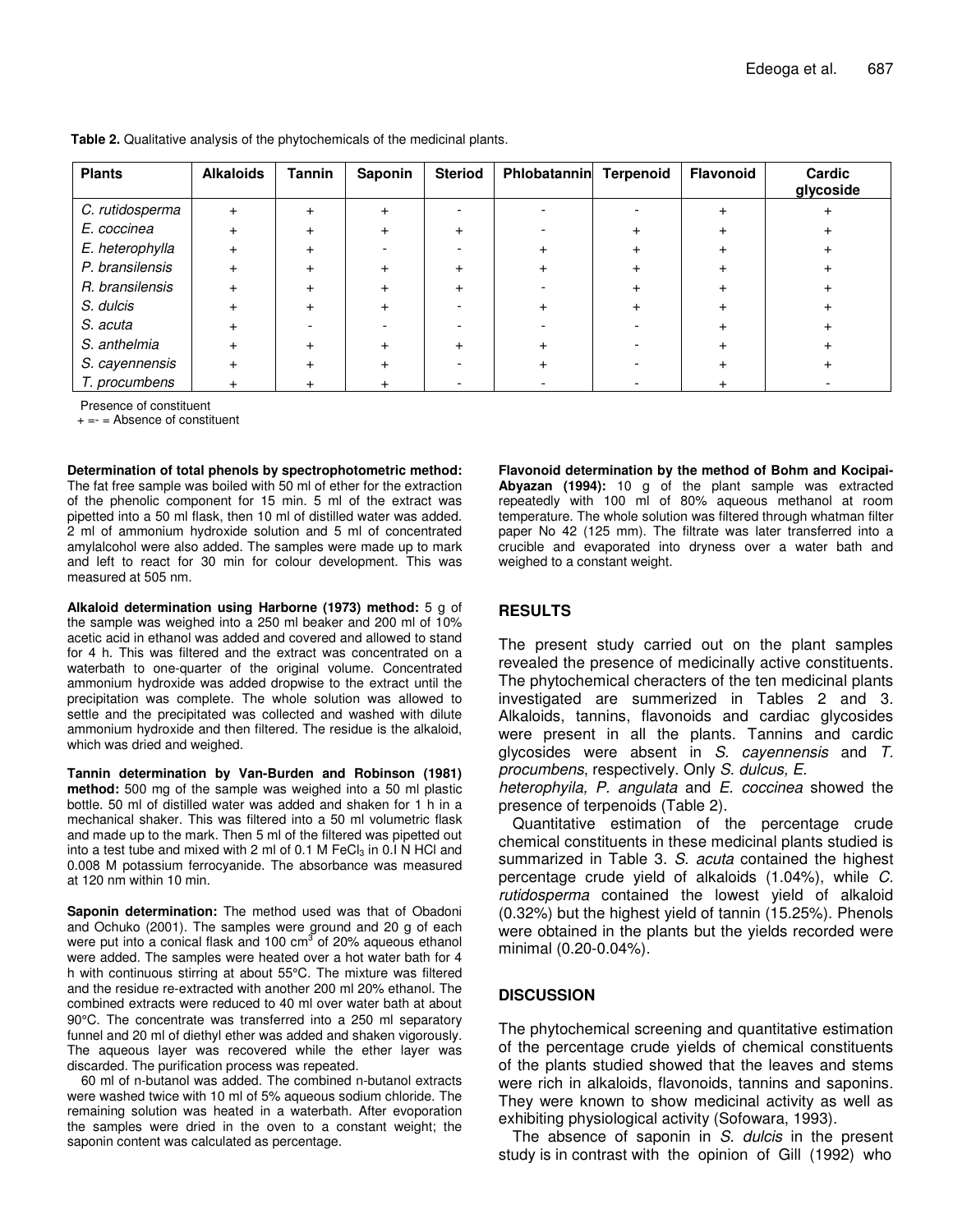| <b>Plants</b>   | <b>Alkaloids</b> | <b>Tannin</b> | Saponin   | <b>Steriod</b> | Phlobatannin | <b>Terpenoid</b> | <b>Flavonoid</b> | Cardic<br>glycoside |
|-----------------|------------------|---------------|-----------|----------------|--------------|------------------|------------------|---------------------|
| C. rutidosperma | $+$              |               | $\ddot{}$ |                |              |                  |                  |                     |
| E. coccinea     |                  |               |           |                |              |                  |                  |                     |
| E. heterophylla | $+$              |               |           |                |              |                  |                  |                     |
| P. bransilensis | $\div$           |               |           |                |              |                  |                  |                     |
| R. bransilensis | $\ddot{}$        |               |           |                |              |                  |                  |                     |
| S. dulcis       | $+$              |               |           |                |              |                  |                  |                     |
| S. acuta        | $\div$           |               |           |                |              |                  |                  |                     |
| S. anthelmia    | $+$              |               |           |                |              |                  |                  |                     |
| S. cayennensis  | $\ddot{}$        |               |           |                |              |                  |                  |                     |
| T. procumbens   |                  |               |           |                |              |                  |                  |                     |

**Table 2.** Qualitative analysis of the phytochemicals of the medicinal plants.

Presence of constituent

 $+=$  = Absence of constituent

**Determination of total phenols by spectrophotometric method:** The fat free sample was boiled with 50 ml of ether for the extraction of the phenolic component for 15 min. 5 ml of the extract was pipetted into a 50 ml flask, then 10 ml of distilled water was added. 2 ml of ammonium hydroxide solution and 5 ml of concentrated amylalcohol were also added. The samples were made up to mark and left to react for 30 min for colour development. This was measured at 505 nm.

**Alkaloid determination using Harborne (1973) method:** 5 g of the sample was weighed into a 250 ml beaker and 200 ml of 10% acetic acid in ethanol was added and covered and allowed to stand for 4 h. This was filtered and the extract was concentrated on a waterbath to one-quarter of the original volume. Concentrated ammonium hydroxide was added dropwise to the extract until the precipitation was complete. The whole solution was allowed to settle and the precipitated was collected and washed with dilute ammonium hydroxide and then filtered. The residue is the alkaloid, which was dried and weighed.

**Tannin determination by Van-Burden and Robinson (1981) method:** 500 mg of the sample was weighed into a 50 ml plastic bottle. 50 ml of distilled water was added and shaken for 1 h in a mechanical shaker. This was filtered into a 50 ml volumetric flask and made up to the mark. Then 5 ml of the filtered was pipetted out into a test tube and mixed with 2 ml of 0.1 M FeC $l_3$  in 0.1 N HCl and 0.008 M potassium ferrocyanide. The absorbance was measured at 120 nm within 10 min.

**Saponin determination:** The method used was that of Obadoni and Ochuko (2001). The samples were ground and 20 g of each were put into a conical flask and 100 cm<sup>3</sup> of 20% aqueous ethanol were added. The samples were heated over a hot water bath for 4 h with continuous stirring at about 55°C. The mixture was filtered and the residue re-extracted with another 200 ml 20% ethanol. The combined extracts were reduced to 40 ml over water bath at about 90°C. The concentrate was transferred into a 250 ml separatory funnel and 20 ml of diethyl ether was added and shaken vigorously. The aqueous layer was recovered while the ether layer was discarded. The purification process was repeated.

60 ml of n-butanol was added. The combined n-butanol extracts were washed twice with 10 ml of 5% aqueous sodium chloride. The remaining solution was heated in a waterbath. After evoporation the samples were dried in the oven to a constant weight; the saponin content was calculated as percentage.

**Flavonoid determination by the method of Bohm and Kocipai-Abyazan (1994):** 10 g of the plant sample was extracted repeatedly with 100 ml of 80% aqueous methanol at room temperature. The whole solution was filtered through whatman filter paper No 42 (125 mm). The filtrate was later transferred into a crucible and evaporated into dryness over a water bath and weighed to a constant weight.

# **RESULTS**

The present study carried out on the plant samples revealed the presence of medicinally active constituents. The phytochemical cheracters of the ten medicinal plants investigated are summerized in Tables 2 and 3. Alkaloids, tannins, flavonoids and cardiac glycosides were present in all the plants. Tannins and cardic glycosides were absent in *S. cayennensis* and *T. procumbens*, respectively. Only *S. dulcus, E.*

*heterophyila, P. angulata* and *E. coccinea* showed the presence of terpenoids (Table 2).

Quantitative estimation of the percentage crude chemical constituents in these medicinal plants studied is summarized in Table 3. *S. acuta* contained the highest percentage crude yield of alkaloids (1.04%), while *C. rutidosperma* contained the lowest yield of alkaloid (0.32%) but the highest yield of tannin (15.25%). Phenols were obtained in the plants but the yields recorded were minimal (0.20-0.04%).

# **DISCUSSION**

The phytochemical screening and quantitative estimation of the percentage crude yields of chemical constituents of the plants studied showed that the leaves and stems were rich in alkaloids, flavonoids, tannins and saponins. They were known to show medicinal activity as well as exhibiting physiological activity (Sofowara, 1993).

The absence of saponin in *S. dulcis* in the present study is in contrast with the opinion of Gill (1992) who